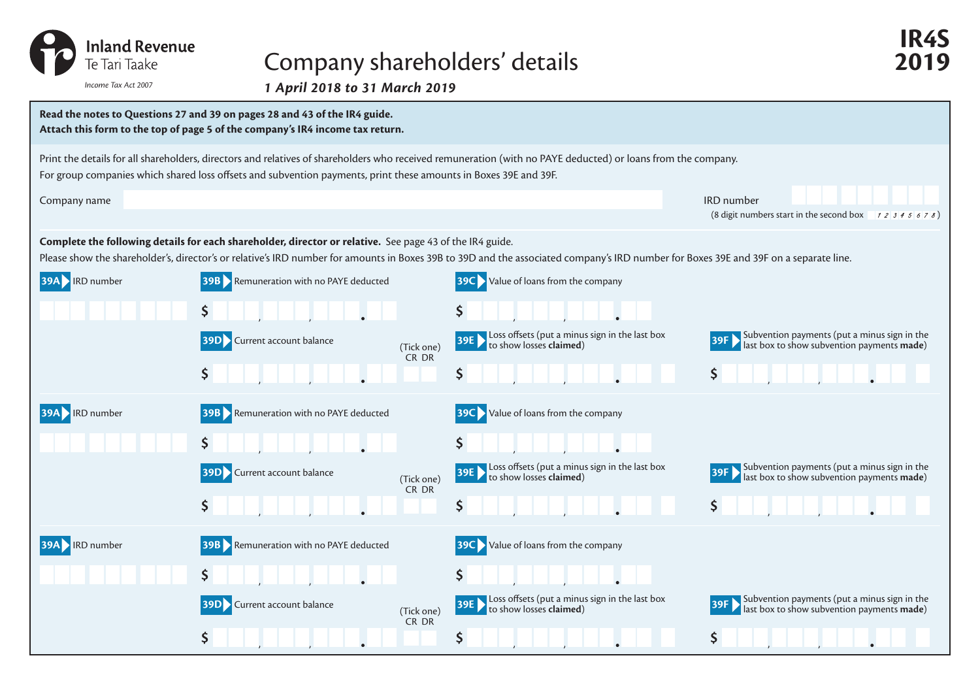

## Company shareholders' details **2019**

*1 April 2018 to 31 March 2019 Income Tax Act 2007*